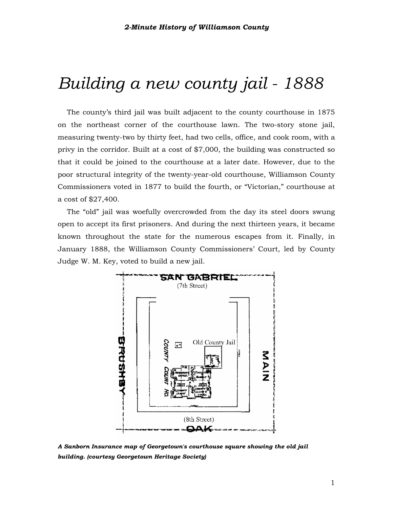# *Building a new county jail - 1888*

The county's third jail was built adjacent to the county courthouse in 1875 on the northeast corner of the courthouse lawn. The two-story stone jail, measuring twenty-two by thirty feet, had two cells, office, and cook room, with a privy in the corridor. Built at a cost of \$7,000, the building was constructed so that it could be joined to the courthouse at a later date. However, due to the poor structural integrity of the twenty-year-old courthouse, Williamson County Commissioners voted in 1877 to build the fourth, or "Victorian," courthouse at a cost of \$27,400.

The "old" jail was woefully overcrowded from the day its steel doors swung open to accept its first prisoners. And during the next thirteen years, it became known throughout the state for the numerous escapes from it. Finally, in January 1888, the Williamson County Commissioners' Court, led by County Judge W. M. Key, voted to build a new jail.



*A Sanborn Insurance map of Georgetown's courthouse square showing the old jail building. (courtesy Georgetown Heritage Society)*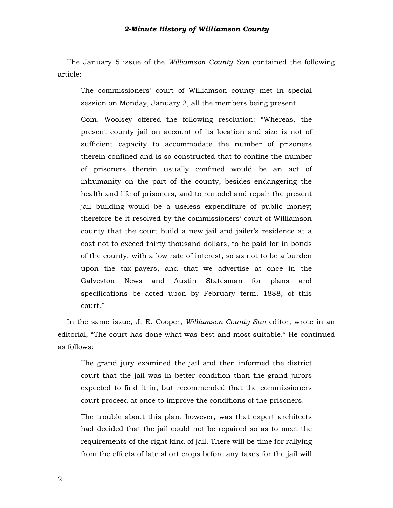The January 5 issue of the *Williamson County Sun* contained the following article:

The commissioners' court of Williamson county met in special session on Monday, January 2, all the members being present.

Com. Woolsey offered the following resolution: "Whereas, the present county jail on account of its location and size is not of sufficient capacity to accommodate the number of prisoners therein confined and is so constructed that to confine the number of prisoners therein usually confined would be an act of inhumanity on the part of the county, besides endangering the health and life of prisoners, and to remodel and repair the present jail building would be a useless expenditure of public money; therefore be it resolved by the commissioners' court of Williamson county that the court build a new jail and jailer's residence at a cost not to exceed thirty thousand dollars, to be paid for in bonds of the county, with a low rate of interest, so as not to be a burden upon the tax-payers, and that we advertise at once in the Galveston News and Austin Statesman for plans and specifications be acted upon by February term, 1888, of this court."

In the same issue, J. E. Cooper, *Williamson County Sun* editor, wrote in an editorial, "The court has done what was best and most suitable." He continued as follows:

The grand jury examined the jail and then informed the district court that the jail was in better condition than the grand jurors expected to find it in, but recommended that the commissioners court proceed at once to improve the conditions of the prisoners.

The trouble about this plan, however, was that expert architects had decided that the jail could not be repaired so as to meet the requirements of the right kind of jail. There will be time for rallying from the effects of late short crops before any taxes for the jail will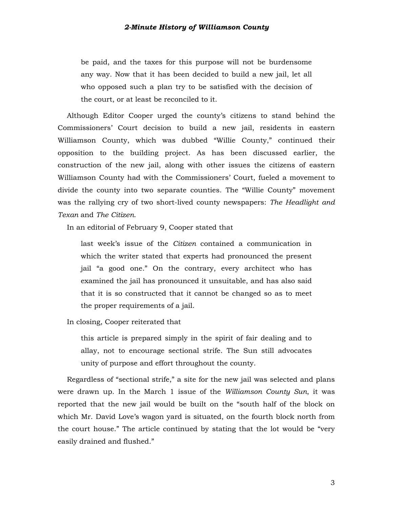be paid, and the taxes for this purpose will not be burdensome any way. Now that it has been decided to build a new jail, let all who opposed such a plan try to be satisfied with the decision of the court, or at least be reconciled to it.

Although Editor Cooper urged the county's citizens to stand behind the Commissioners' Court decision to build a new jail, residents in eastern Williamson County, which was dubbed "Willie County," continued their opposition to the building project. As has been discussed earlier, the construction of the new jail, along with other issues the citizens of eastern Williamson County had with the Commissioners' Court, fueled a movement to divide the county into two separate counties. The "Willie County" movement was the rallying cry of two short-lived county newspapers: *The Headlight and Texan* and *The Citizen*.

In an editorial of February 9, Cooper stated that

last week's issue of the *Citizen* contained a communication in which the writer stated that experts had pronounced the present jail "a good one." On the contrary, every architect who has examined the jail has pronounced it unsuitable, and has also said that it is so constructed that it cannot be changed so as to meet the proper requirements of a jail.

In closing, Cooper reiterated that

this article is prepared simply in the spirit of fair dealing and to allay, not to encourage sectional strife. The Sun still advocates unity of purpose and effort throughout the county.

Regardless of "sectional strife," a site for the new jail was selected and plans were drawn up. In the March 1 issue of the *Williamson County Sun*, it was reported that the new jail would be built on the "south half of the block on which Mr. David Love's wagon yard is situated, on the fourth block north from the court house." The article continued by stating that the lot would be "very easily drained and flushed."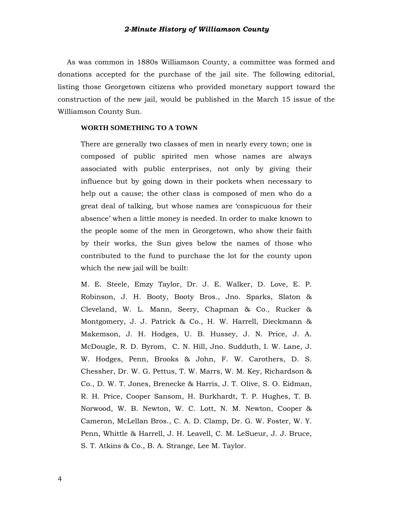As was common in 1880s Williamson County, a committee was formed and donations accepted for the purchase of the jail site. The following editorial, listing those Georgetown citizens who provided monetary support toward the construction of the new jail, would be published in the March 15 issue of the Williamson County Sun.

#### **WORTH SOMETHING TO A TOWN**

There are generally two classes of men in nearly every town; one is composed of public spirited men whose names are always associated with public enterprises, not only by giving their influence but by going down in their pockets when necessary to help out a cause; the other class is composed of men who do a great deal of talking, but whose names are 'conspicuous for their absence' when a little money is needed. In order to make known to the people some of the men in Georgetown, who show their faith by their works, the Sun gives below the names of those who contributed to the fund to purchase the lot for the county upon which the new jail will be built:

M. E. Steele, Emzy Taylor, Dr. J. E. Walker, D. Love, E. P. Robinson, J. H. Booty, Booty Bros., Jno. Sparks, Slaton & Cleveland, W. L. Mann, Seery, Chapman & Co., Rucker & Montgomery, J. J. Patrick & Co., H. W. Harrell, Dieckmann & Makemson, J. H. Hodges, U. B. Hussey, J. N. Price, J. A. McDougle, R. D. Byrom, C. N. Hill, Jno. Sudduth, I. W. Lane, J. W. Hodges, Penn, Brooks & John, F. W. Carothers, D. S. Chessher, Dr. W. G. Pettus, T. W. Marrs, W. M. Key, Richardson & Co., D. W. T. Jones, Brenecke & Harris, J. T. Olive, S. O. Eidman, R. H. Price, Cooper Sansom, H. Burkhardt, T. P. Hughes, T. B. Norwood, W. B. Newton, W. C. Lott, N. M. Newton, Cooper & Cameron, McLellan Bros., C. A. D. Clamp, Dr. G. W. Foster, W. Y. Penn, Whittle & Harrell, J. H. Leavell, C. M. LeSueur, J. J. Bruce, S. T. Atkins & Co., B. A. Strange, Lee M. Taylor.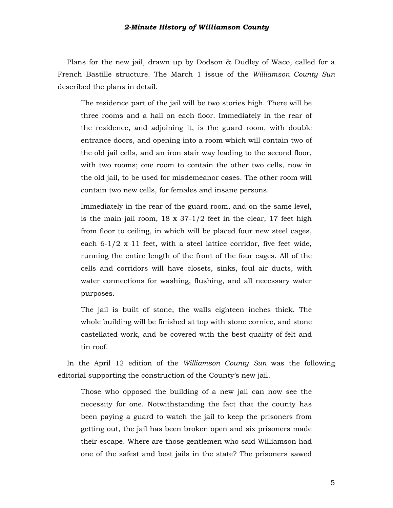Plans for the new jail, drawn up by Dodson & Dudley of Waco, called for a French Bastille structure. The March 1 issue of the *Williamson County Sun* described the plans in detail.

The residence part of the jail will be two stories high. There will be three rooms and a hall on each floor. Immediately in the rear of the residence, and adjoining it, is the guard room, with double entrance doors, and opening into a room which will contain two of the old jail cells, and an iron stair way leading to the second floor, with two rooms; one room to contain the other two cells, now in the old jail, to be used for misdemeanor cases. The other room will contain two new cells, for females and insane persons.

Immediately in the rear of the guard room, and on the same level, is the main jail room, 18 x 37-1/2 feet in the clear, 17 feet high from floor to ceiling, in which will be placed four new steel cages, each 6-1/2 x 11 feet, with a steel lattice corridor, five feet wide, running the entire length of the front of the four cages. All of the cells and corridors will have closets, sinks, foul air ducts, with water connections for washing, flushing, and all necessary water purposes.

The jail is built of stone, the walls eighteen inches thick. The whole building will be finished at top with stone cornice, and stone castellated work, and be covered with the best quality of felt and tin roof.

In the April 12 edition of the *Williamson County Sun* was the following editorial supporting the construction of the County's new jail.

Those who opposed the building of a new jail can now see the necessity for one. Notwithstanding the fact that the county has been paying a guard to watch the jail to keep the prisoners from getting out, the jail has been broken open and six prisoners made their escape. Where are those gentlemen who said Williamson had one of the safest and best jails in the state? The prisoners sawed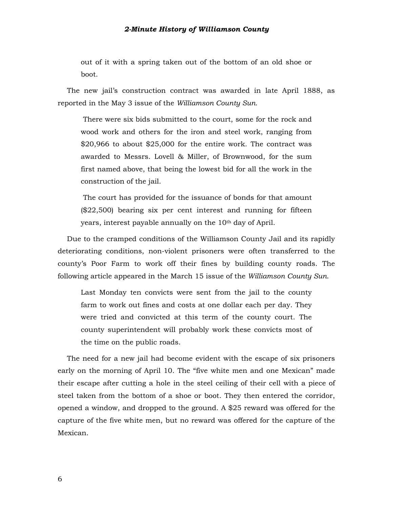out of it with a spring taken out of the bottom of an old shoe or boot.

The new jail's construction contract was awarded in late April 1888, as reported in the May 3 issue of the *Williamson County Sun*.

There were six bids submitted to the court, some for the rock and wood work and others for the iron and steel work, ranging from \$20,966 to about \$25,000 for the entire work. The contract was awarded to Messrs. Lovell & Miller, of Brownwood, for the sum first named above, that being the lowest bid for all the work in the construction of the jail.

The court has provided for the issuance of bonds for that amount (\$22,500) bearing six per cent interest and running for fifteen years, interest payable annually on the 10th day of April.

Due to the cramped conditions of the Williamson County Jail and its rapidly deteriorating conditions, non-violent prisoners were often transferred to the county's Poor Farm to work off their fines by building county roads. The following article appeared in the March 15 issue of the *Williamson County Sun*.

Last Monday ten convicts were sent from the jail to the county farm to work out fines and costs at one dollar each per day. They were tried and convicted at this term of the county court. The county superintendent will probably work these convicts most of the time on the public roads.

The need for a new jail had become evident with the escape of six prisoners early on the morning of April 10. The "five white men and one Mexican" made their escape after cutting a hole in the steel ceiling of their cell with a piece of steel taken from the bottom of a shoe or boot. They then entered the corridor, opened a window, and dropped to the ground. A \$25 reward was offered for the capture of the five white men, but no reward was offered for the capture of the Mexican.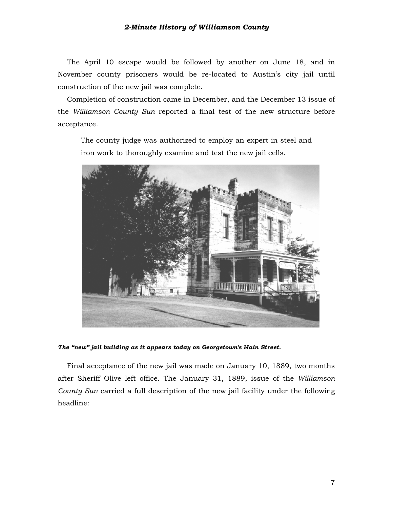The April 10 escape would be followed by another on June 18, and in November county prisoners would be re-located to Austin's city jail until construction of the new jail was complete.

Completion of construction came in December, and the December 13 issue of the *Williamson County Sun* reported a final test of the new structure before acceptance.

The county judge was authorized to employ an expert in steel and iron work to thoroughly examine and test the new jail cells.



#### *The "new" jail building as it appears today on Georgetown's Main Street.*

Final acceptance of the new jail was made on January 10, 1889, two months after Sheriff Olive left office. The January 31, 1889, issue of the *Williamson County Sun* carried a full description of the new jail facility under the following headline: